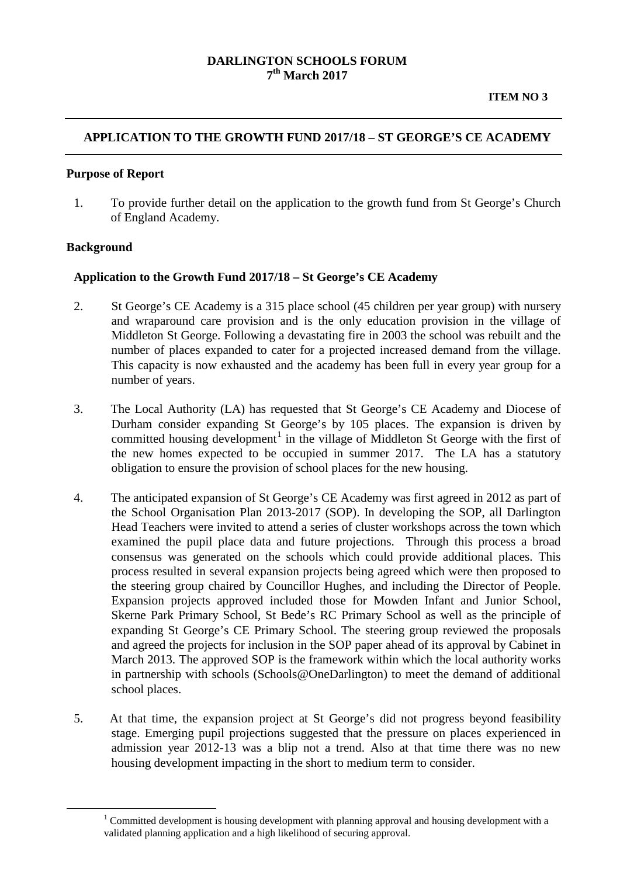### **DARLINGTON SCHOOLS FORUM 7th March 2017**

# **APPLICATION TO THE GROWTH FUND 2017/18 – ST GEORGE'S CE ACADEMY**

#### **Purpose of Report**

1. To provide further detail on the application to the growth fund from St George's Church of England Academy.

#### **Background**

<span id="page-0-0"></span> $\overline{a}$ 

#### **Application to the Growth Fund 2017/18 – St George's CE Academy**

- 2. St George's CE Academy is a 315 place school (45 children per year group) with nursery and wraparound care provision and is the only education provision in the village of Middleton St George. Following a devastating fire in 2003 the school was rebuilt and the number of places expanded to cater for a projected increased demand from the village. This capacity is now exhausted and the academy has been full in every year group for a number of years.
- 3. The Local Authority (LA) has requested that St George's CE Academy and Diocese of Durham consider expanding St George's by 105 places. The expansion is driven by committed housing development<sup>[1](#page-0-0)</sup> in the village of Middleton St George with the first of the new homes expected to be occupied in summer 2017. The LA has a statutory obligation to ensure the provision of school places for the new housing.
- 4. The anticipated expansion of St George's CE Academy was first agreed in 2012 as part of the School Organisation Plan 2013-2017 (SOP). In developing the SOP, all Darlington Head Teachers were invited to attend a series of cluster workshops across the town which examined the pupil place data and future projections. Through this process a broad consensus was generated on the schools which could provide additional places. This process resulted in several expansion projects being agreed which were then proposed to the steering group chaired by Councillor Hughes, and including the Director of People. Expansion projects approved included those for Mowden Infant and Junior School, Skerne Park Primary School, St Bede's RC Primary School as well as the principle of expanding St George's CE Primary School. The steering group reviewed the proposals and agreed the projects for inclusion in the SOP paper ahead of its approval by Cabinet in March 2013. The approved SOP is the framework within which the local authority works in partnership with schools (Schools@OneDarlington) to meet the demand of additional school places.
- 5. At that time, the expansion project at St George's did not progress beyond feasibility stage. Emerging pupil projections suggested that the pressure on places experienced in admission year 2012-13 was a blip not a trend. Also at that time there was no new housing development impacting in the short to medium term to consider.

<sup>&</sup>lt;sup>1</sup> Committed development is housing development with planning approval and housing development with a validated planning application and a high likelihood of securing approval.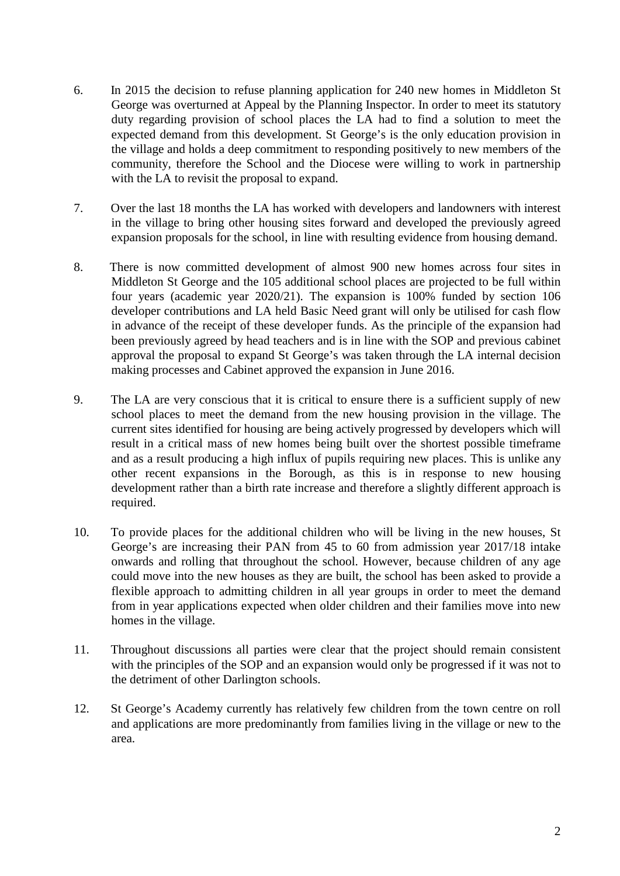- 6. In 2015 the decision to refuse planning application for 240 new homes in Middleton St George was overturned at Appeal by the Planning Inspector. In order to meet its statutory duty regarding provision of school places the LA had to find a solution to meet the expected demand from this development. St George's is the only education provision in the village and holds a deep commitment to responding positively to new members of the community, therefore the School and the Diocese were willing to work in partnership with the LA to revisit the proposal to expand.
- 7. Over the last 18 months the LA has worked with developers and landowners with interest in the village to bring other housing sites forward and developed the previously agreed expansion proposals for the school, in line with resulting evidence from housing demand.
- 8. There is now committed development of almost 900 new homes across four sites in Middleton St George and the 105 additional school places are projected to be full within four years (academic year 2020/21). The expansion is 100% funded by section 106 developer contributions and LA held Basic Need grant will only be utilised for cash flow in advance of the receipt of these developer funds. As the principle of the expansion had been previously agreed by head teachers and is in line with the SOP and previous cabinet approval the proposal to expand St George's was taken through the LA internal decision making processes and Cabinet approved the expansion in June 2016.
- 9. The LA are very conscious that it is critical to ensure there is a sufficient supply of new school places to meet the demand from the new housing provision in the village. The current sites identified for housing are being actively progressed by developers which will result in a critical mass of new homes being built over the shortest possible timeframe and as a result producing a high influx of pupils requiring new places. This is unlike any other recent expansions in the Borough, as this is in response to new housing development rather than a birth rate increase and therefore a slightly different approach is required.
- 10. To provide places for the additional children who will be living in the new houses, St George's are increasing their PAN from 45 to 60 from admission year 2017/18 intake onwards and rolling that throughout the school. However, because children of any age could move into the new houses as they are built, the school has been asked to provide a flexible approach to admitting children in all year groups in order to meet the demand from in year applications expected when older children and their families move into new homes in the village.
- 11. Throughout discussions all parties were clear that the project should remain consistent with the principles of the SOP and an expansion would only be progressed if it was not to the detriment of other Darlington schools.
- 12. St George's Academy currently has relatively few children from the town centre on roll and applications are more predominantly from families living in the village or new to the area.